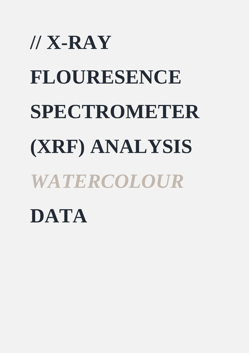## **// X-RAY FLOURESENCE SPECTROMETER (XRF) ANALYSIS**  *WATERCOLOUR* **DATA**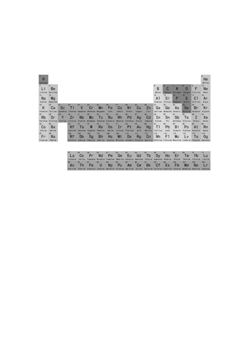| $\mathbf{1}$<br>Н<br>Hydrogen |               |          |                       |          |                   |            |           |         |                                     |        |                                                      |                |           |            |           |            | He<br>Helium |
|-------------------------------|---------------|----------|-----------------------|----------|-------------------|------------|-----------|---------|-------------------------------------|--------|------------------------------------------------------|----------------|-----------|------------|-----------|------------|--------------|
| 3<br>L٦                       | Вe            |          |                       |          |                   |            |           |         |                                     |        |                                                      | 5<br>B         | U         | N          | 8<br>0    | 9<br>F     | 10<br>Ne     |
| Lithium                       | Beryllium     |          |                       |          |                   |            |           |         |                                     |        |                                                      | Boron          | Carbon    | Nitrogen   | Oxygen    | Fluorine   | Neon         |
| 11                            | 12            |          |                       |          |                   |            |           |         |                                     |        |                                                      | 13             | 14        | 15         | 16        | 17         | 18           |
| Na                            | Mg            |          |                       |          |                   |            |           |         |                                     |        |                                                      | A <sub>1</sub> | Si        | P          | S         | C.         | Ar           |
| Sodium                        | Magnesium     |          |                       |          |                   |            |           |         |                                     |        |                                                      | Aluminum       | Silicon   | Phosphorus | Sulfur    | Chlorine   | Argon        |
| 19                            | 20            | 21       | 22                    | 23       | 24                | 25         | 26        | 27      | 28                                  | 29     | 30                                                   | 31             | 32        | 33         |           | 35         | 36           |
| Κ                             | Ca            | Sc       | Τi                    | V        | cr                | Mn         | Fe        | Co      | Ni                                  | Cu     | Zn                                                   | Ga             | Ge        | As         | Se        | Br         | Кr           |
| Potassium                     | Calcium       | Scandium | Titanium              | Vanadium | Chromium          | Manganese  | Iron      | Cobalt  | Nickel                              | Copper | Zinc                                                 | Gallium        | Germanium | Arsenic    | Selenium  | Bromine    | Krypton      |
| 37                            | 38            | 39       | 40                    | 41       | 42                | 43         | 44        | 45      | 46                                  | 47     | 48                                                   | 49             | 50        | 51         | 52        | 53         | 54           |
| Rb                            | Sr            |          | 2r                    | Nb       | <b>Mo</b>         | Tс         | Ru        | Rh      | Pd                                  | Ag     | $_{\rm Cd}$                                          | In             | Sn        | Sb         | Тe        |            | Xe           |
| Rubidium                      | Strontium     | Yttrium  | Zirconium             | Niobium  | <b>Molybdenum</b> | Technetium | Ruthenium | Rhodium | Palladium                           | Silver | Cadmium                                              | Indium         | Tin       | Antimony   | Tellurium | Iodine     | Xenon        |
| 55                            | 56            |          | 72                    | 73       | 74                | 75         | 76        | 77      | 78                                  | 79     | 80                                                   | 81             | 82        | 83         | 84        | 85         | 86           |
| Cs                            | Вa            |          | Hf                    | Тa       | W                 | Re         | 0s        | Ir      | Pt                                  | Au     | Hg                                                   | וז             | Pb        | Bi         | Po        | At         | Rn           |
| Cesium                        | <b>Barium</b> |          | Hafnium               | Tantalum | Tungsten          | Rhenium    | Osmium    | Iridium | Platinum                            | Gold   | Mercury                                              | Thallium       | Lead      | Bismuth    | Polonium  | Astatine   | Radon        |
| 87                            | 88            |          | 104                   | 105      | 106               | 107        | 108       | 109     | 110                                 | 111    | 112                                                  | 113            | 114       | 115        | 116       | 117        | 118          |
| Fr                            | Ra            |          | Rf                    | Db       | Sg                | <b>Bh</b>  | Hs        | Mt      | Ds                                  | Rg     | Cn                                                   | Nh             | F1        | <b>MC</b>  | Lv        | Ts         | 0g           |
| Francium                      | Radium        |          | <b>Ruther fordium</b> | Dubnium  | Seaborgium        | Bohrium    | Hassium   |         | Meitnerium Darmstadtium Roentgenium |        | Copernicium Nihonium Flerovium Moscovium Livermorium |                |           |            |           | Tennessine | Oganesson    |

| Francium<br>Radium |           |                    | Rutherfordium Dubnium Seaborgium Bohrium Hassium Meitnerium Darmstadtium Roentgenium Copernicium Nihonium Flerovium Moscovium Livermorium Tennessine Oganesson   |                    |                 |          |          |                                 |                 |          |          |                       |           |          |           |
|--------------------|-----------|--------------------|------------------------------------------------------------------------------------------------------------------------------------------------------------------|--------------------|-----------------|----------|----------|---------------------------------|-----------------|----------|----------|-----------------------|-----------|----------|-----------|
|                    |           |                    |                                                                                                                                                                  |                    |                 |          |          |                                 |                 |          |          |                       |           |          |           |
|                    | Lanthanum | 58<br>Ce           | 59<br>Pr<br>Cerium Praseodymium Neodymium Promethium Samarium Europium Gadolinium Terbium Dysprosium Holmium Erbium Thulium Ytterbium Lutetium                   | 60<br>Nd.          | 61<br>Pm        | 62<br>Sm | 63<br>Eu | 64<br>Gd                        | 65<br>Tb        | 66<br>Dv | 67<br>Ho | 68<br>Er              | 69<br>Tm  | 70<br>Yb | 71<br>Lu  |
|                    |           | $90^{\circ}$<br>Th | 91<br>Pa<br>Actinium Thorium Protactinium Uranium Neptunium Plutonium Americium Curium Berkelium Californium Einsteinium Fermium Mendelevium Nobelium Lawrencium | 92<br>$\mathsf{U}$ | 93<br><b>ND</b> | 94<br>Pu | 95<br>Am | 96<br>$\mathsf{C}_{\mathsf{m}}$ | 97<br><b>Bk</b> | 98<br>Cf | 99<br>Es | 100<br>F <sub>m</sub> | 101<br>Md | 102      | 103<br>Lr |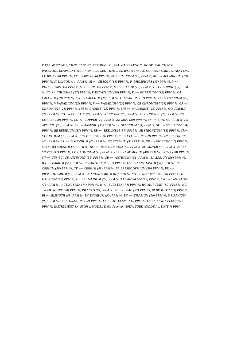*DATE: 05/07/2018, TIME: 07:56:02, READING: #1, SEA: CALIBRATION, MODE: CAL CHECK, PASS/FAIL, ELAPSED TIME: 14.99, ELAPSED TIME 2, ELAPSED TIME 3, ELAPSED TIME TOTAL: 14.99. FE IRON (26) PPM %, FE +/- IRON (26) PPM %, AL ALUMINIUM (13) PPM %, AL +/- ALUMINIUM (13) PPM %, SI SILICON (14) PPM %, SI +/- SILICON (14) PPM %, P PHOSPHURS (15) PPM %, P +/- PHOSPHURS (15) PPM %, S SULFUR (16) PPM %, S +/- SULFUR (16) PPM %, CL CHLORINE (17) PPM %, CL +/- CHLORINE (17) PPM %, K POTASSIUM (19) PPM %, K +/- POTASSIUM (19) PPM %, CA CALCIUM (20) PPM %, CA +/- CALCIUM (20) PPM %, TI TITANIUM (22) PPM %, TI +/- TITANIUM (22) PPM %, V VANADIUM (23) PPM %, V +/- VANADIUM (23) PPM %, CR CHROMIUM (24) PPM %, CR +/- CHROMIUM (24) PPM %, MN MAGANESE (25) PPM %, MN +/- MAGANESE (25) PPM %, CO COBALT (27) PPM %, CO +/- COLBALT (27) PPM %, NI NICKEL (28) PPM %, NI +/- NICKEL (28) PPM %, CU COPPER (29) PPM %, CU +/- COPPER (29) PPM %, ZN ZINC (30) PPM %, ZN +/- ZINC (30) PPM %, AS ARSENIC (33) PPM %, AS +/- ARSENIC (33) PPM %, SE SELENIUM (34) PPM %, SE +/- SELENIUM (34) PPM %, RB REBIDIUM (37) PPM %, RB +/- REDIDIUM (37) PPM %, SR STRONTIUM (38) PPM %, SR+/- STRONTIUM (38) PPM %, Y YTTERBIUM (39) PPM %, Y +/- YTTERBIUM (39) PPM %, ZR ZIRCONIUM (40) PPM %, ZR +/- ZIRCONIUM (40) PPM %, NB NIOBIUM (41) PPM %, NB +/- NIOBIUM (41) PPM %, MO MOLYBDENUM (42) PPM %, MO +/- MOLYBDENUM (42) PPM %, AG SILVER (47) PPM %, AG +/- SILVER (47) PPM %, CD CADMINUM (48) PPM %, CD +/- CADMINUM (48) PPM %, SN TIN (50) PPM %, SN +/- TIN (50), SB ANTIMONY (51) PPM %, SB +/- ANTIMONY (51) PPM %, BA BARIUM (56) PPM %, BA +/- BARIUM (56) PPM %, LA LANTHANUM (57) PPM %, LA +/- LANTHANUM (57) PPM %, CE CERIUM (58) PPM %, CE +/- CERIUM (58) PPM %, PR PRASEODYMIUM (59) PPM %, PR +/- PRASEODYMIUM (59) PPM % , ND NEODYMIUM (60) PPM %, ND +/- NEODYMIUM (60) PPM %, HF HAFNIUM (72) PPM %, HF +/- HAFNIUM (72) PPM %, TA TANTALUM (73) PPM %, TA +/- TANTALUM (73) PPM %, W TUNGSTEN (74) PPM %, W +/- TUGSTEN (74) PPM %, HG MURCURY (80) PPM %, HG +/- MURCURY (80) PPM %, PB LEAD (82) PPM %, PB +/- LEAD (82) PPM %, BI BISMUTH (83) PPM %, BI +/- BISMUTH (83) PPM %, TH THORIUM (90) PPM %, TH +/- THORIUM (90) PPM %, U URANIUM (92) PPM %, U +/- URANIUM (92) PPM %, LE LIGHT ELEMENTS PPM %, LE +/- LIGHT ELEMENTS PPM %, INSTRUMENT SN 550084, MODEL Delta Premium-50KV, TUBE ANODE Au, UNIT % PPM*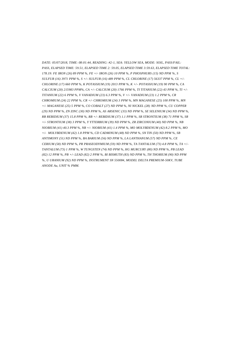*DATE: 05/07/2018, TIME: 08:01:44, READING: #2-1, SEA: YELLOW SEA, MODE: SOIL, PASS/FAIL: PASS, ELAPSED TIME: 59.51, ELAPSED TIME 2: 59.05, ELAPSED TIME 3:59.63, ELAPSED TIME TOTAL: 178.19: FE IRON (26) 89 PPM %, FE +/- IRON (26) 10 PPM %, P PHOSPHURS (15) ND PPM %, S SULFUR (16) 3971 PPM %, S +/- SULFUR (16) 489 PPM %, CL CHLORINE (17) 56337 PPM %, CL +/- CHLORINE (17) 660 PPM %, K POTASSIUM (19) 2013 PPM %, K +/- POTASSIUM (19) 90 PPM %, CA CALCIUM (20) 215983 PPM%, CA +/- CALCIUM (20) 1766 PPM %, TI TITANIUM (22) 43 PPM %, TI +/- TITANIUM (22) 6 PPM %, V VANADIUM (23) 6.3 PPM %, V +/- VANADIUM (23) 1.2 PPM %, CR CHROMIUM (24) 22 PPM %, CR +/- CHROMIUM (24) 3 PPM %, MN MAGANESE (25) 100 PPM %, MN +/- MAGANESE (25) 5 PPM %, CO COBALT (27) ND PPM %, NI NICKEL (28) ND PPM %, CU COPPER (29) ND PPM %, ZN ZINC (30) ND PPM %, AS ARSENIC (33) ND PPM %, SE SELENIUM (34) ND PPM %, RB REBIDIUM (37) 15.8 PPM %, RB +/- REBIDIUM (37) 1.1 PPM %, SR STRONTIUM (38) 71 PPM %, SR +/- STRONTIUM (38) 3 PPM %, Y YTTERBIUM (39) ND PPM %, ZR ZIRCONIUM (40) ND PPM %, NB NIOBIUM (41) 40.3 PPM %, NB +/- NIOBIUM (41) 1.4 PPM %, MO MOLYBDENUM (42) 8.2 PPM %, MO +/- MOLYBDENUM (42) 1.8 PPM %, CD CADMINUM (48) ND PPM %, SN TIN (50) ND PPM %, SB ANTIMONY (51) ND PPM %, BA BARIUM (56) ND PPM %, LA LANTHANUM (57) ND PPM %, CE CERIUM (58) ND PPM %, PR PRASEODYMIUM (59) ND PPM %, TA TANTALUM (73) 4.8 PPM %, TA +/- TANTALUM (73) 1 PPM %, W TUNGSTEN (74) ND PPM %, HG MURCURY (80) ND PPM %, PB LEAD (82) 12 PPM %, PB +/- LEAD (82) 2 PPM %, BI BISMUTH (83) ND PPM %, TH THORIUM (90) ND PPM %, U URANIUM (92) ND PPM %, INSTRUMENT SN 550084, MODEL DELTA PREMIUM-50KV, TUBE ANODE Au, UNIT % PMM.*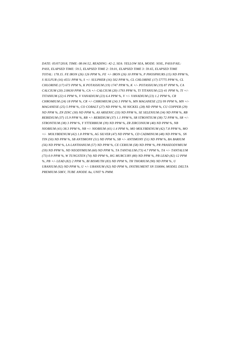*DATE: 05/07/2018, TIME: 08:04:52, READING: #2-2, SEA: YELLOW SEA, MODE: SOIL, PASS/FAIL: PASS, ELAPSED TIME: 59.5, ELAPSED TIME 2: 59.01, ELAPSED TIME 3: 59.65, ELAPSED TIME TOTAL: 178.15. FE IRON (26) 126 PPM %, FE +/- IRON (26) 10 PPM %, P PHOSPHURS (15) ND PPM %, S SULFUR (16) 4551 PPM %, S +/- SULPHER (16) 502 PPM %, CL CHLORINE (17) 57775 PPM %, CL CHLORINE (17) 673 PPM %, K POTASSIUM (19) 1747 PPM %, K +/- POTASSIUM (19) 87 PPM %, CA CALCIUM (20) 218630 PPM %, CA +/- CALCIUM (20) 1793 PPM %, TI TITANIUM (22) 41 PPM %, TI +/- TITANIUM (22) 6 PPM %, V VANADIUM (23) 6.4 PPM %, V +/- VANADIUM (23) 1.2 PPM %, CR CHROMIUM (24) 18 PPM %, CR +/- CHROMIUM (24) 3 PPM %, MN MAGANESE (25) 99 PPM %, MN +/- MAGANESE (25) 5 PPM %, CO COBALT (27) ND PPM %, NI NICKEL (28) ND PPM %, CU COPPER (29) ND PPM %, ZN ZINC (30) ND PPM %, AS ARSENIC (33) ND PPM %, SE SELENIUM (34) ND PPM %, RB REBIDIUM (37) 15.9 PPM %, RB +/- REBIDIUM (37) 1.1 PPM %, SR STRONTIUM (38) 72 PPM %, SR +/- STRONTIUM (38) 3 PPM %, Y YTTERBIUM (39) ND PPM %, ZR ZIRCONIUM (40) ND PPM %, NB NIOBIUM (41) 38.3 PPM %, NB +/- NIOBIUM (41) 1.4 PPM %, MO MOLYBDENUM (42) 7.8 PPM %, MO +/- MOLYBDENUM (42) 1.8 PPM %, AG SILVER (47) ND PPM %, CD CADMINUM (48) ND PPM %, SN TIN (50) ND PPM %, SB ANTIMONY (51) ND PPM %, SB +/- ANTIMONY (51) ND PPM %, BA BARIUM (56) ND PPM %, LA LANTHANUM (57) ND PPM %, CE CERIUM (58) ND PPM %, PR PRASEODYMIUM (59) ND PPM %, ND NEODYMIUM (60) ND PPM %, TA TANTALUM (73) 4.7 PPM %, TA +/- TANTALUM (73) 0.9 PPM %, W TUNGSTEN (74) ND PPM %, HG MURCURY (80) ND PPM %, PB LEAD (82) 12 PPM %, PB +/- LEAD (82) 2 PPM %, BI BISMUTH (83) ND PPM %, TH THORIUM (90) ND PPM %, U URANIUM (92) ND PPM %, U +/- URANIUM (92) ND PPM %, INSTRUMENT SN 550084, MODEL DELTA PREMIUM-50KV, TUBE ANODE Au, UNIT % PMM.*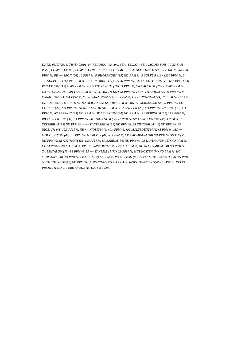*DATE: 05/07/2018, TIME: 08:01:44, READING: #2-Avg, SEA: YELLOW SEA, MODE: SOIL, PASS/FAIL: PASS, ELAPSED TIME, ELAPSED TIME 2, ELAPSED TIME 3, ELAPSED TIME TOTAL. FE IRON (26) 108 PPM %, FE +/- IRON (26) 10 PPM %, P PHOSPHURS (15) ND PPM %, S SULFUR (16) 4261 PPM %, S +/- SULPHER (16) 495 PPM %, CL CHLORINE (17) 57156 PPM %, CL +/- CHLORINE (17) 667 PPM %, K POTASSIUM (19) 1880 PPM %, K +/- POTASSIUM (19) 89 PPM %, CA CALCIUM (20) 217307 PPM %, CA +/- CALCIUM (20) 1779 PPM %, TI TITANIUM (22) 42 PPM %, TI +/- TITANIUM (22) 6 PPM %, V VANADIUM (23) 6.4 PPM %, V +/- VANADIUM (23) 1.2 PPM %, CR CHROMIUM (24) 20 PPM %, CR +/- CHROMIUM (24) 3 PPM %, MN MAGANESE (25) 100 PPM %, MN +/- MAGANESE (25) 5 PPM %, CO COBALT (27) ND PPM %, NI NICKEL (28) ND PPM %, CU COPPER (29) ND PPM %, ZN ZINC (30) ND PPM %, AS ARSENIC (33) ND PPM %, SE SELENIUM (34) ND PPM %, RB REBIDIUM (37) 15.9 PPM %, RB +/- REBIDIUM (37) 1.1 PPM %, SR STRONTIUM (38) 72 PPM %, SR +/- STRONTIUM (38) 3 PPM %, Y YTTERBIUM (39) ND PPM %, Y +/- Y YTTERBIUM (39) ND PPM %, ZR ZIRCONIUM (40) ND PPM %, NB NIOBIUM (41) 39.3 PPM %, NB +/- NIOBIUM (41) 1.4 PPM %, MO MOLYBDENUM (42) 3 PPM %, MO +/- MOLYBDENUM (42) 1.8 PPM %, AG SILVER (47) ND PPM %, CD CADMINUM (48) ND PPM %, SN TIN (50) ND PPM %, SB ANTIMONY (51) ND PPM %, BA BARIUM (56) ND PPM %, LA LANTHANUM (57) ND PPM %, CE CERIUM (58) ND PPM %, PR +/- PRASEODYMIUM (59) ND PPM %, ND NEODYMIUM (60) ND PPM %, TA TANTALUM (73) 4.8 PPM %, TA +/- TANTALUM (73) 0.9 PPM %, W TUNGSTEN (74) ND PPM %, HG MURCURY (80) ND PPM %, PB LEAD (82) 12 PPM %, PB +/- LEAD (82) 2 PPM %, BI BISMUTH (83) ND PPM %, TH THORIUM (90) ND PPM %, U URANIUM (92) ND PPM %, INSTRUMENT SN 550084, MODEL DELTA PREMIUM-50KV, TUBE ANODE Au, UNIT % PMM.*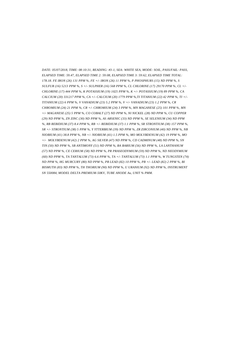*DATE: 05/07/2018, TIME: 08:10:31, READING: #3-1, SEA: WHITE SEA, MODE: SOIL, PASS/FAIL: PASS, ELAPSED TIME: 59.47, ELAPSED TIME 2: 59:08, ELAPSED TIME 3: 59:62, ELAPSED TIME TOTAL: 178.18. FE IRON (26) 131 PPM %, FE +/- IRON (26) 11 PPM %, P PHOSPHURS (15) ND PPM %, S SULFUR (16) 5213 PPM %, S +/- SULPHER (16) 568 PPM %, CL CHLORINE (17) 29170 PPM %, CL +/- CHLORINE (17) 444 PPM %, K POTASSIUM (19) 1025 PPM %, K +/- POTASSIUM (19) 89 PPM %, CA CALCIUM (20) 331217 PPM %, CA +/- CALCIUM (20) 1779 PPM %,TI TITANIUM (22) 42 PPM %, TI +/- TITANIUM (22) 6 PPM %, V VANADIUM (23) 5.2 PPM %, V +/- VANADIUM (23) 1.2 PPM %, CR CHROMIUM (24) 21 PPM %, CR +/- CHROMIUM (24) 3 PPM %, MN MAGANESE (25) 101 PPM %, MN +/- MAGANESE (25) 5 PPM %, CO COBALT (27) ND PPM %, NI NICKEL (28) ND PPM %, CU COPPER (29) ND PPM %, ZN ZINC (30) ND PPM %, AS ARSENIC (33) ND PPM %, SE SELENIUM (34) ND PPM %, RB REBIDIUM (37) 8.4 PPM %, RB +/- REBIDIUM (37) 1.1 PPM %, SR STRONTIUM (38) 157 PPM %, SR +/- STRONTIUM (38) 5 PPM %, Y YTTERBIUM (39) ND PPM %, ZR ZIRCONIUM (40) ND PPM %, NB NIOBIUM (41) 38.8 PPM %, NB +/- NIOBIUM (41) 1.5 PPM %, MO MOLYBDENUM (42) 19 PPM %, MO +/- MOLYBDENUM (42) 2 PPM %, AG SILVER (47) ND PPM %, CD CADMINUM (48) ND PPM %, SN TIN (50) ND PPM %, SB ANTIMONY (51) ND PPM %, BA BARIUM (56) ND PPM %, LA LANTHANUM (57) ND PPM %, CE CERIUM (58) ND PPM %, PR PRASEODYMIUM (59) ND PPM %, ND NEODYMIUM (60) ND PPM %, TA TANTALUM (73) 6.6 PPM %, TA +/- TANTALUM (73) 1.1 PPM %, W TUNGSTEN (74) ND PPM %, HG MURCURY (80) ND PPM %, PB LEAD (82) 10 PPM %, PB +/- LEAD (82) 2 PPM %, BI BISMUTH (83) ND PPM %, TH THORIUM (90) ND PPM %, U URANIUM (92) ND PPM %, INSTRUMENT SN 550084, MODEL DELTA PREMIUM-50KV, TUBE ANODE Au, UNIT % PMM.*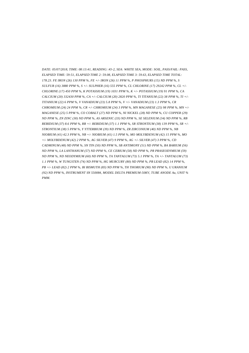*DATE: 05/07/2018, TIME: 08:13:41, READING: #3-2, SEA: WHITE SEA, MODE: SOIL, PASS/FAIL: PASS, ELAPSED TIME: 59:51, ELAPSED TIME 2: 59.08, ELAPSED TIME 3: 59.63, ELAPSED TIME TOTAL: 178.23. FE IRON (26) 130 PPM %, FE +/- IRON (26) 11 PPM %, P PHOSPHURS (15) ND PPM %, S SULFUR (16) 3880 PPM %, S +/- SULPHER (16) 555 PPM %, CL CHLORINE (17) 29242 PPM %, CL +/- CHLORINE (17) 450 PPM %, K POTASSIUM (19) 1031 PPM %, K +/- POTASSIUM (19) 91 PPM %, CA CALCIUM (20) 332430 PPM %, CA +/- CALCIUM (20) 2820 PPM %, TI TITANIUM (22) 38 PPM %, TI +/- TITANIUM (22) 6 PPM %, V VANADIUM (23) 5.8 PPM %, V +/- VANADIUM (23) 1.3 PPM %, CR CHROMIUM (24) 24 PPM %, CR +/- CHROMIUM (24) 3 PPM %, MN MAGANESE (25) 98 PPM %, MN +/- MAGANESE (25) 5 PPM %, CO COBALT (27) ND PPM %, NI NICKEL (28) ND PPM %, CU COPPER (29) ND PPM %, ZN ZINC (30) ND PPM %, AS ARSENIC (33) ND PPM %, SE SELENIUM (34) ND PPM %, RB REBIDIUM (37) 8.6 PPM %, RB +/- REBIDIUM (37) 1.1 PPM %, SR STRONTIUM (38) 139 PPM %, SR +/- STRONTIUM (38) 5 PPM %, Y YTTERBIUM (39) ND PPM %, ZR ZIRCONIUM (40) ND PPM %, NB NIOBIUM (41) 42.3 PPM %, NB +/- NIOBIUM (41) 1.5 PPM %, MO MOLYBDENUM (42) 15 PPM %, MO +/- MOLYBDENUM (42) 2 PPM %, AG SILVER (47) 9 PPM %, AG +/- SILVER (47) 3 PPM %, CD CADMINUM (48) ND PPM %, SN TIN (50) ND PPM %, SB ANTIMONY (51) ND PPM %, BA BARIUM (56) ND PPM %, LA LANTHANUM (57) ND PPM %, CE CERIUM (58) ND PPM %, PR PRASEODYMIUM (59) ND PPM %, ND NEODYMIUM (60) ND PPM %, TA TANTALUM (73) 5.1 PPM %, TA +/- TANTALUM (73) 1.1 PPM %, W TUNGSTEN (74) ND PPM %, HG MURCURY (80) ND PPM %, PB LEAD (82) 14 PPM %, PB +/- LEAD (82) 2 PPM %, BI BISMUTH (83) ND PPM %, TH THORIUM (90) ND PPM %, U URANIUM (92) ND PPM %, INSTRUMENT SN 550084, MODEL DELTA PREMIUM-50KV, TUBE ANODE Au, UNIT % PMM.*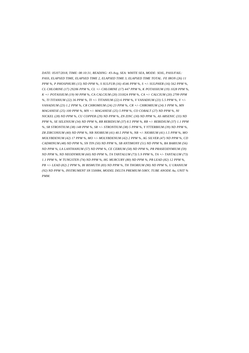*DATE: 05/07/2018, TIME: 08:10:31, READING: #3-Avg, SEA: WHITE SEA, MODE: SOIL, PASS/FAIL: PASS, ELAPSED TIME, ELAPSED TIME 2, ELAPSED TIME 3, ELAPSED TIME TOTAL. FE IRON (26) 11 PPM %, P PHOSPHURS (15) ND PPM %, S SULFUR (16) 4546 PPM %, S +/- SULPHER (16) 562 PPM %, CL CHLORINE (17) 29206 PPM %, CL +/- CHLORINE (17) 447 PPM %, K POTASSIUM (19) 1028 PPM %, K +/- POTASSIUM (19) 90 PPM %, CA CALCIUM (20) 331824 PPM %, CA +/- CALCIUM (20) 2799 PPM %, TI TITANIUM (22) 36 PPM %, TI +/- TITANIUM (22) 6 PPM %, V VANADIUM (23) 5.5 PPM %, V +/- VANADIUM (23) 1.2 PPM %, CR CHROMIUM (24) 23 PPM %, CR +/- CHROMIUM (24) 3 PPM %, MN MAGANESE (25) 100 PPM %, MN +/- MAGANESE (25) 5 PPM %, CO COBALT (27) ND PPM %, NI NICKEL (28) ND PPM %, CU COPPER (29) ND PPM %, ZN ZINC (30) ND PPM %, AS ARSENIC (33) ND PPM %, SE SELENIUM (34) ND PPM %, RB REBIDIUM (37) 8.5 PPM %, RB +/- REBIDIUM (37) 1.1 PPM %, SR STRONTIUM (38) 148 PPM %, SR +/- STRONTIUM (38) 5 PPM %, Y YTTERBIUM (39) ND PPM %, ZR ZIRCONIUM (40) ND PPM %, NB NIOBIUM (41) 40.5 PPM %, NB +/- NIOBIUM (41) 1.5 PPM %, MO MOLYBDENUM (42) 17 PPM %, MO +/- MOLYBDENUM (42) 2 PPM %, AG SILVER (47) ND PPM %, CD CADMINUM (48) ND PPM %, SN TIN (50) ND PPM %, SB ANTIMONY (51) ND PPM %, BA BARIUM (56) ND PPM %, LA LANTHANUM (57) ND PPM %, CE CERIUM (58) ND PPM %, PR PRASEODYMIUM (59) ND PPM %, ND NEODYMIUM (60) ND PPM %, TA TANTALUM (73) 5.9 PPM %, TA +/- TANTALUM (73) 1.1 PPM %, W TUNGSTEN (74) ND PPM %, HG MURCURY (80) ND PPM %, PB LEAD (82) 12 PPM %, PB +/- LEAD (82) 2 PPM %, BI BISMUTH (83) ND PPM %, TH THORIUM (90) ND PPM %, U URANIUM (92) ND PPM %, INSTRUMENT SN 550084, MODEL DELTA PREMIUM-50KV, TUBE ANODE Au, UNIT % PMM.*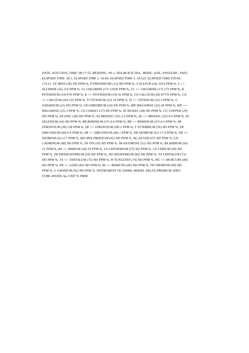*DATE: 05/07/2018, TIME: 08:17:55, READING: #4-1, SEA:BLACK SEA, MODE: SOIL, PASS/FAIL: PASS, ELAPSED TIME: 58.1, ELAPSED TIME 2: 56.69, ELAPSED TIME 3: 59.523, ELAPSED TIME TOTAL: 174.31. FE IRON (26) ND PPM %, P PHOSPHURS (15) ND PPM %, S SULFUR (16) 1033 PPM %, S +/- SULPHER (16) 214 PPM %, CL CHLORINE (17) 11029 PPM %, CL +/- CHLORINE (17) 173 PPM %, K POTASSIUM (19) 676 PPM %, K +/- POTASSIUM (19) 41 PPM %, CA CALCIUM (20) 87770 PPM %, CA +/- CALCIUM (20) 535 PPM %, TI TITANIUM (22) 18 PPM %, TI +/- TITANIUM (22) 3 PPM %, V VANADIUM (23) ND PPM %, CR CHROMIUM (24) ND PPM %, MN MAGANESE (25) 44 PPM %, MN +/- MAGANESE (25) 3 PPM %, CO COBALT (27) ND PPM %, NI NICKEL (28) ND PPM %, CU COPPER (29) ND PPM %, ZN ZINC (30) ND PPM %, AS ARSENIC (33) 2.6 PPM %, AS +/- ARSENIC (33) 0.6 PPM %, SE SELENIUM (34) ND PPM %, RB REBIDIUM (37) 6.6 PPM %, RB +/- REBIDIUM (37) 0.5 PPM %, SR STRONTIUM (38) 138 PPM %, SR +/- STRONTIUM (38) 2 PPM %, Y YTTERBIUM (39) ND PPM %, ZR ZIRCONIUM (40) 6.9 PPM %, ZR +/- ZIRCONIUM (40) 1 PPM %, NB NIOBIUM (41) 17.9 PPM %, NB +/- NIOBIUM (41) 0.7 PPM %, MO MOLYBDENUM (42) ND PPM %, AG SILVER (47) ND PPM %, CD CADMINUM (48) ND PPM %, SN TIN (50) ND PPM %, SB ANTIMONY (51) ND PPM %, BA BARIUM (56) 31 PPM %, BA +/- BARIUM (56) 10 PPM %, LA LANTHANUM (57) ND PPM %, CE CERIUM (58) ND PPM %, PR PRASEODYMIUM (59) ND PPM %, ND NEODYMIUM (60) ND PPM %, TA TANTALUM (73) ND PPM %, TA +/- TANTALUM (73) ND PPM %, W TUNGSTEN (74) ND PPM %, HG +/- MURCURY (80) ND PPM %, PB +/- LEAD (82) ND PPM %, BI +/- BISMUTH (83) ND PPM %, TH THORIUM (90) ND PPM %, U URANIUM (92) ND PPM %, INSTRUMENT SN 550084, MODEL DELTA PREMIUM-50KV, TUBE ANODE Au, UNIT % PMM.*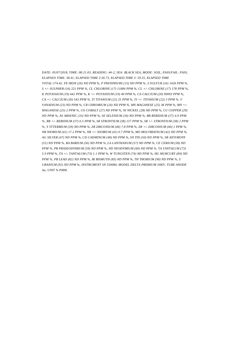*DATE: 05/07/2018, TIME: 08:21:03, READING: #4-2, SEA: BLACK SEA, MODE: SOIL, PASS/FAIL: PASS, ELAPSED TIME: 58.41, ELAPSED TIME 2:56.73, ELAPSED TIME 3: 59.55, ELAPSED TIME TOTAL:174.42. FE IRON (26) ND PPM %, P PHOSPHURS (15) ND PPM %, S SULFUR (16) 1426 PPM %, S +/- SULPHER (16) 221 PPM %, CL CHLORINE (17) 11806 PPM %, CL +/- CHLORINE (17) 178 PPM %, K POTASSIUM (19) 642 PPM %, K +/- POTASSIUM (19) 40 PPM %, CA CALCIUM (20) 90093 PPM %, CA +/- CALCIUM (20) 543 PPM %, TI TITANIUM (22) 25 PPM %, TI +/- TITANIUM (22) 3 PPM %, V VANADIUM (23) ND PPM %, CR CHROMIUM (24) ND PPM %, MN MAGANESE (25) 38 PPM %, MN +/- MAGANESE (25) 2 PPM %, CO COBALT (27) ND PPM %, NI NICKEL (28) ND PPM %, CU COPPER (29) ND PPM %, AS ARSENIC (33) ND PPM %, SE SELENIUM (34) ND PPM %, RB REBIDIUM (37) 6.9 PPM %, RB +/- REBIDIUM (37) 0.5 PPM %, SR STRONTIUM (38) 137 PPM %, SR +/- STRONTIUM (38) 2 PPM %, Y YTTERBIUM (39) ND PPM %, ZR ZIRCONIUM (40) 7.8 PPM %, ZR +/- ZIRCONIUM (40) 1 PPM %, NB NIOBIUM (41) 17.2 PPM %, NB +/- NIOBIUM (41) 0.7 PPM %, MO MOLYBDENUM (42) ND PPM %, AG SILVER (47) ND PPM %, CD CADMINUM (48) ND PPM %, SN TIN (50) ND PPM %, SB ANTIMONY (51) ND PPM %, BA BARIUM (56) ND PPM %, LA LANTHANUM (57) ND PPM %, CE CERIUM (58) ND PPM %, PR PRASEODYMIUM (59) ND PPM %, ND NEODYMIUM (60) ND PPM %, TA TANTALUM (73) 5.9 PPM %, TA +/- TANTALUM (73) 1.1 PPM %, W TUNGSTEN (74) ND PPM %, HG MURCURY (80) ND PPM %, PB LEAD (82) ND PPM %, BI BISMUTH (83) ND PPM %, TH THORIUM (90) ND PPM %, U URANIUM (92) ND PPM %, INSTRUMENT SN 550084, MODEL DELTA PREMIUM-50KV, TUBE ANODE Au, UNIT % PMM.*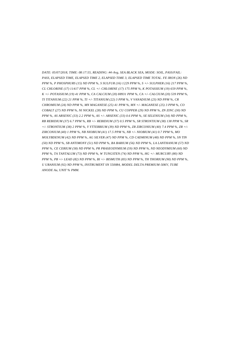*DATE: 05/07/2018, TIME: 08:17:55, READING: #4-Avg, SEA:BLACK SEA, MODE: SOIL, PASS/FAIL: PASS, ELAPSED TIME, ELAPSED TIME 2, ELAPSED TIME 3, ELAPSED TIME TOTAL. FE IRON (26) ND PPM %, P PHOSPHURS (15) ND PPM %, S SULFUR (16) 1229 PPM %, S +/- SULPHER (16) 217 PPM %, CL CHLORINE (17) 11417 PPM %, CL +/- CHLORINE (17) 175 PPM %, K POTASSIUM (19) 659 PPM %, K +/- POTASSIUM (19) 41 PPM %, CA CALCIUM (20) 88931 PPM %, CA +/- CALCIUM (20) 539 PPM %, TI TITANIUM (22) 21 PPM %, TI +/- TITANIUM (22) 3 PPM %, V VANADIUM (23) ND PPM %, CR CHROMIUM (24) ND PPM %, MN MAGANESE (25) 41 PPM %, MN +/- MAGANESE (25) 3 PPM %, CO COBALT (27) ND PPM %, NI NICKEL (28) ND PPM %, CU COPPER (29) ND PPM %, ZN ZINC (30) ND PPM %, AS ARSENIC (33) 2.2 PPM %, AS +/- ARSENIC (33) 0.6 PPM %, SE SELENIUM (34) ND PPM %, RB REBIDIUM (37) 6.7 PPM %, RB +/- REBIDIUM (37) 0.5 PPM %, SR STRONTIUM (38) 138 PPM %, SR +/- STRONTIUM (38) 2 PPM %, Y YTTERBIUM (39) ND PPM %, ZR ZIRCONIUM (40) 7.4 PPM %, ZR +/- ZIRCONIUM (40) 1 PPM %, NB NIOBIUM (41) 17.5 PPM %, NB +/- NIOBIUM (41) 0.7 PPM %, MO MOLYBDENUM (42) ND PPM %, AG SILVER (47) ND PPM %, CD CADMINUM (48) ND PPM %, SN TIN (50) ND PPM %, SB ANTIMONY (51) ND PPM %, BA BARIUM (56) ND PPM %, LA LANTHANUM (57) ND PPM %, CE CERIUM (58) ND PPM %, PR PRASEODYMIUM (59) ND PPM %, ND NEODYMIUM (60) ND PPM %, TA TANTALUM (73) ND PPM %, W TUNGSTEN (74) ND PPM %, HG +/- MURCURY (80) ND PPM %, PB +/- LEAD (82) ND PPM %, BI +/- BISMUTH (83) ND PPM %, TH THORIUM (90) ND PPM %, U URANIUM (92) ND PPM %, INSTRUMENT SN 550084, MODEL DELTA PREMIUM-50KV, TUBE ANODE Au, UNIT % PMM.*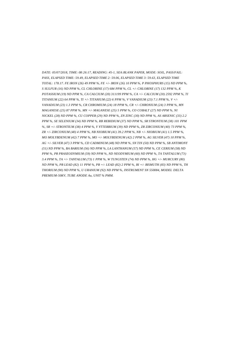*DATE: 05/07/2018, TIME: 08:26:17, READING: #5-1, SEA:BLANK PAPER, MODE: SOIL, PASS/FAIL: PASS, ELAPSED TIME: 59.49, ELAPSED TIME 2: 59.06, ELAPSED TIME 3: 59.63, ELAPSED TIME TOTAL: 178.17. FE IRON (26) 49 PPM %, FE +/- IRON (26) 10 PPM %, P PHOSPHURS (15) ND PPM %, S SULFUR (16) ND PPM %, CL CHLORINE (17) 684 PPM %, CL +/- CHLORINE (17) 132 PPM %, K POTASSIUM (19) ND PPM %, CA CALCIUM (20) 311199 PPM %, CA +/- CALCIUM (20) 2592 PPM %, TI TITANIUM (22) 64 PPM %, TI +/- TITANIUM (22) 6 PPM %, V VANADIUM (23) 7.1 PPM %, V +/- VANADIUM (23) 1.3 PPM %, CR CHROMIUM (24) 18 PPM %, CR +/- CHRONIUM (24) 3 PPM %, MN MAGANESE (25) 87 PPM %, MN +/- MAGANESE (25) 5 PPM %, CO COBALT (27) ND PPM %, NI NICKEL (28) ND PPM %, CU COPPER (29) ND PPM %, ZN ZINC (30) ND PPM %, AS ARSENIC (33) 2.2 PPM %, SE SELENIUM (34) ND PPM %, RB REBIDIUM (37) ND PPM %, SR STRONTIUM (38) 101 PPM %, SR +/- STRONTIUM (38) 4 PPM %, Y YTTERBIUM (39) ND PPM %, ZR ZIRCONIUM (40) 73 PPM %, ZR +/- ZIRCONIUM (40) 4 PPM %, NB NIOBIUM (41) 39.2 PPM %, NB +/- NIOBIUM (41) 1.5 PPM %, MO MOLYBDENUM (42) 7 PPM %, MO +/- MOLYBDENUM (42) 2 PPM %, AG SILVER (47) 10 PPM %, AG +/- SILVER (47) 3 PPM %, CD CADMINUM (48) ND PPM %, SN TIN (50) ND PPM %, SB ANTIMONY (51) ND PPM %, BA BARIUM (56) ND PPM %, LA LANTHANUM (57) ND PPM %, CE CERIUM (58) ND PPM %, PR PRASEODYMIUM (59) ND PPM %, ND NEODYMIUM (60) ND PPM %, TA TANTALUM (73) 3.4 PPM %, TA +/- TANTALUM (73) 1 PPM %, W TUNGSTEN (74) ND PPM %, HG +/- MURCURY (80) ND PPM %, PB LEAD (82) 11 PPM %, PB +/- LEAD (82) 2 PPM %, BI +/- BISMUTH (83) ND PPM %, TH THORIUM (90) ND PPM %, U URANIUM (92) ND PPM %, INSTRUMENT SN 550084, MODEL DELTA PREMIUM-50KV, TUBE ANODE Au, UNIT % PMM.*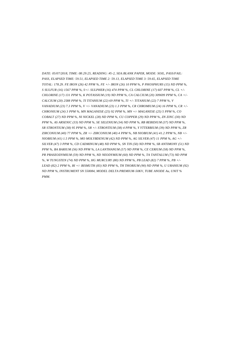*DATE: 05/07/2018, TIME: 08:29:25, READING: #5-2, SEA:BLANK PAPER, MODE: SOIL, PASS/FAIL: PASS, ELAPSED TIME: 59.51, ELAPSED TIME 2: 59.13, ELAPSED TIME 3: 59.65, ELAPSED TIME TOTAL: 178.29. FE IRON (26) 42 PPM %, FE +/- IRON (26) 10 PPM %, P PHOSPHURS (15) ND PPM %, S SULFUR (16) 1567 PPM %, S+/- SULPHER (16) 474 PPM %, CL CHLORINE (17) 607 PPM %, CL +/- CHLORINE (17) 131 PPM %, K POTASSIUM (19) ND PPM %, CA CALCIUM (20) 309699 PPM %, CA +/- CALCIUM (20) 2588 PPM %, TI TITANIUM (22) 69 PPM %, TI +/- TITANIUM (22) 7 PPM %, V VANADIUM (23) 7.3 PPM %, V +/- VANADIUM (23) 1.3 PPM %, CR CHROMIUM (24) 16 PPM %, CR +/- CHRONIUM (24) 3 PPM %, MN MAGANESE (25) 92 PPM %, MN +/- MAGANESE (25) 5 PPM %, CO COBALT (27) ND PPM %, NI NICKEL (28) ND PPM %, CU COPPER (29) ND PPM %, ZN ZINC (30) ND PPM %, AS ARSENIC (33) ND PPM %, SE SELENIUM (34) ND PPM %, RB REBIDIUM (37) ND PPM %, SR STRONTIUM (38) 95 PPM %, SR +/- STRONTIUM (38) 4 PPM %, Y YTTERBIUM (39) ND PPM %, ZR ZIRCONIUM (40) 77 PPM %, ZR +/- ZIRCONIUM (40) 4 PPM %, NB NIOBIUM (41) 41.2 PPM %, NB +/- NIOBIUM (41) 1.5 PPM %, MO MOLYBDENUM (42) ND PPM %, AG SILVER (47) 11 PPM %, AG +/- SILVER (47) 3 PPM %, CD CADMINUM (48) ND PPM %, SN TIN (50) ND PPM %, SB ANTIMONY (51) ND PPM %, BA BARIUM (56) ND PPM %, LA LANTHANUM (57) ND PPM %, CE CERIUM (58) ND PPM %, PR PRASEODYMIUM (59) ND PPM %, ND NEODYMIUM (60) ND PPM %, TA TANTALUM (73) ND PPM %, W TUNGSTEN (74) ND PPM %, HG MURCURY (80) ND PPM %, PB LEAD (82) 7 PPM %, PB +/- LEAD (82) 2 PPM %, BI +/- BISMUTH (83) ND PPM %, TH THORIUM (90) ND PPM %, U URANIUM (92) ND PPM %, INSTRUMENT SN 550084, MODEL DELTA PREMIUM-50KV, TUBE ANODE Au, UNIT % PMM.*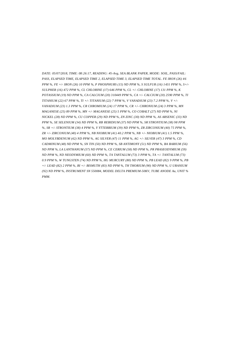*DATE: 05/07/2018, TIME: 08:26:17, READING: #5-Avg, SEA:BLANK PAPER, MODE: SOIL, PASS/FAIL: PASS, ELAPSED TIME, ELAPSED TIME 2, ELAPSED TIME 3, ELAPSED TIME TOTAL. FE IRON (26) 46 PPM %, FE +/- IRON (26) 10 PPM %, P PHOSPHURS (15) ND PPM %, S SULFUR (16) 1431 PPM %, S+/- SULPHER (16) 472 PPM %, CL CHLORINE (17) 646 PPM %, CL +/- CHLORINE (17) 131 PPM %, K POTASSIUM (19) ND PPM %, CA CALCIUM (20) 310449 PPM %, CA +/- CALCIUM (20) 2590 PPM %, TI TITANIUM (22) 67 PPM %, TI +/- TITANIUM (22) 7 PPM %, V VANADIUM (23) 7.2 PPM %, V +/- VANADIUM (23) 1.3 PPM %, CR CHROMIUM (24) 17 PPM %, CR +/- CHRONIUM (24) 3 PPM %, MN MAGANESE (25) 89 PPM %, MN +/- MAGANESE (25) 5 PPM %, CO COBALT (27) ND PPM %, NI NICKEL (28) ND PPM %, CU COPPER (29) ND PPM %, ZN ZINC (30) ND PPM %, AS ARSENIC (33) ND PPM %, SE SELENIUM (34) ND PPM %, RB REBIDIUM (37) ND PPM %, SR STRONTIUM (38) 98 PPM %, SR +/- STRONTIUM (38) 4 PPM %, Y YTTERBIUM (39) ND PPM %, ZR ZIRCONIUM (40) 75 PPM %, ZR +/- ZIRCONIUM (40) 4 PPM %, NB NIOBIUM (41) 40.2 PPM %, NB +/- NIOBIUM (41) 1.5 PPM %, MO MOLYBDENUM (42) ND PPM %, AG SILVER (47) 11 PPM %, AG +/- SILVER (47) 3 PPM %, CD CADMINUM (48) ND PPM %, SN TIN (50) ND PPM %, SB ANTIMONY (51) ND PPM %, BA BARIUM (56) ND PPM %, LA LANTHANUM (57) ND PPM %, CE CERIUM (58) ND PPM %, PR PRASEODYMIUM (59) ND PPM %, ND NEODYMIUM (60) ND PPM %, TA TANTALUM (73) 3 PPM %, TA +/- TANTALUM (73) 0.9 PPM %, W TUNGSTEN (74) ND PPM %, HG MURCURY (80) ND PPM %, PB LEAD (82) 9 PPM %, PB +/- LEAD (82) 2 PPM %, BI +/- BISMUTH (83) ND PPM %, TH THORIUM (90) ND PPM %, U URANIUM (92) ND PPM %, INSTRUMENT SN 550084, MODEL DELTA PREMIUM-50KV, TUBE ANODE Au, UNIT % PMM.*